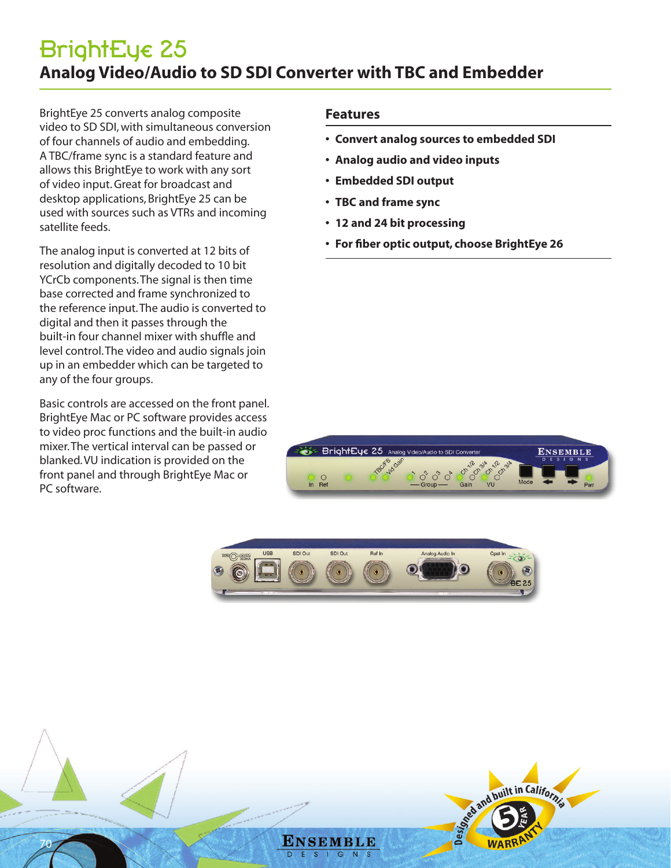# BrightEye 25 **Analog Video/Audio to SD SDI Converter with TBC and Embedder**

BrightEye 25 converts analog composite video to SD SDI, with simultaneous conversion of four channels of audio and embedding. A TBC/frame sync is a standard feature and allows this BrightEye to work with any sort of video input. Great for broadcast and desktop applications, BrightEye 25 can be used with sources such as VTRs and incoming satellite feeds.

The analog input is converted at 12 bits of resolution and digitally decoded to 10 bit YCrCb components. The signal is then time base corrected and frame synchronized to the reference input. The audio is converted to digital and then it passes through the built-in four channel mixer with shuffle and level control. The video and audio signals join up in an embedder which can be targeted to any of the four groups.

Basic controls are accessed on the front panel. BrightEye Mac or PC software provides access to video proc functions and the built-in audio mixer. The vertical interval can be passed or blanked. VU indication is provided on the front panel and through BrightEye Mac or PC software.

# **Features**

- **• Convert analog sources to embedded SDI**
- **• Analog audio and video inputs**
- **• Embedded SDI output**
- **• TBC and frame sync**
- **• 12 and 24 bit processing**
- **• For fiber optic output, choose BrightEye 26**